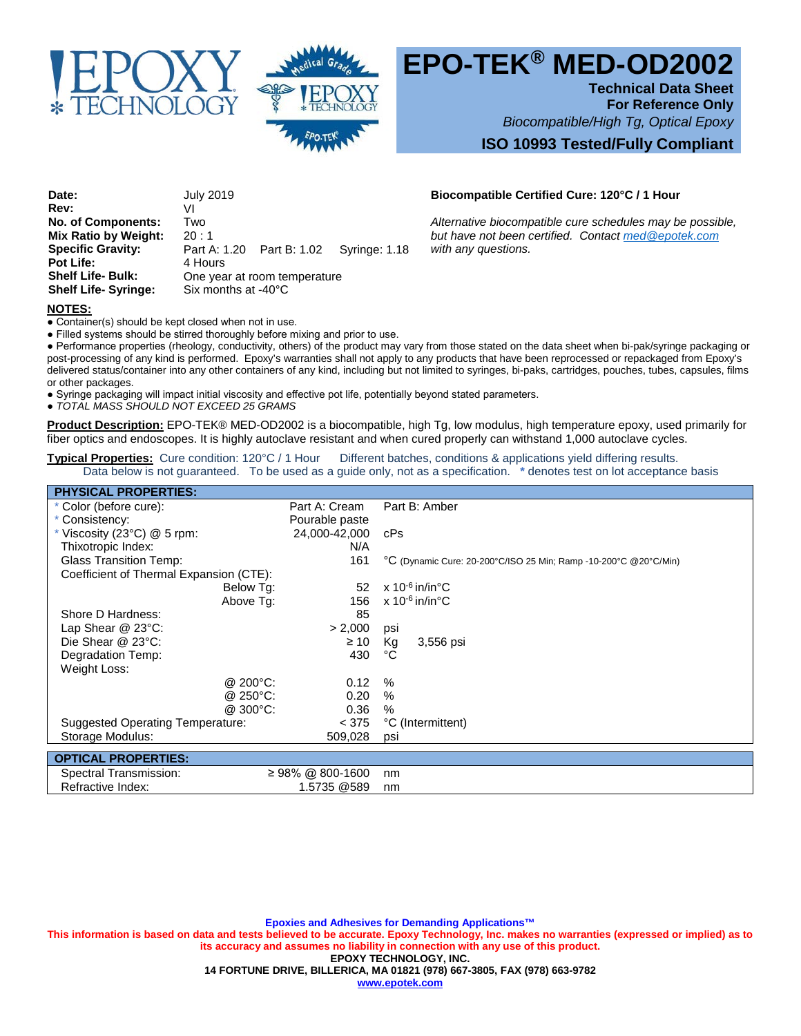



# **EPO-TEK® MED-OD2002**

**Technical Data Sheet**

**For Reference Only** *Biocompatible/High Tg, Optical Epoxy*

## **ISO 10993 Tested/Fully Compliant**

**Date:** July 2019 **Biocompatible Certified Cure: 120°C / 1 Hour Rev:** VI **No. of Components:** Two *Alternative biocompatible cure schedules may be possible,***<br><b>Mix Ratio by Weight:** 20:1 *Alternative not been certified. Contact <u>med @epotek.com</u>* **Specific Gravity:** Part A: 1.20 Part B: 1.02 Syringe: 1.18 *with any questions.*  **Pot Life:** 4 Hours<br> **Shelf Life- Bulk:** 0ne vea **One year at room temperature Shelf Life- Syringe:** Six months at -40°C

*Mut have not been certified. Contact med @epotek.com*<br>Part B: 1.02 Syringe: 1.18 *with any questions.* 

#### **NOTES:**

• Container(s) should be kept closed when not in use.

● Filled systems should be stirred thoroughly before mixing and prior to use.

● Performance properties (rheology, conductivity, others) of the product may vary from those stated on the data sheet when bi-pak/syringe packaging or post-processing of any kind is performed. Epoxy's warranties shall not apply to any products that have been reprocessed or repackaged from Epoxy's delivered status/container into any other containers of any kind, including but not limited to syringes, bi-paks, cartridges, pouches, tubes, capsules, films or other packages.

● Syringe packaging will impact initial viscosity and effective pot life, potentially beyond stated parameters.

● *TOTAL MASS SHOULD NOT EXCEED 25 GRAMS*

**Product Description:** EPO-TEK® MED-OD2002 is a biocompatible, high Tg, low modulus, high temperature epoxy, used primarily for fiber optics and endoscopes. It is highly autoclave resistant and when cured properly can withstand 1,000 autoclave cycles.

# **Typical Properties:** Cure condition: 120°C / 1 Hour Different batches, conditions & applications yield differing results.

Data below is not guaranteed. To be used as a guide only, not as a specification. **\*** denotes test on lot acceptance basis

| <b>PHYSICAL PROPERTIES:</b>             |                |                |                                                                  |
|-----------------------------------------|----------------|----------------|------------------------------------------------------------------|
| * Color (before cure):                  |                | Part A: Cream  | Part B: Amber                                                    |
| * Consistency:                          |                | Pourable paste |                                                                  |
| * Viscosity (23 $^{\circ}$ C) @ 5 rpm:  |                | 24,000-42,000  | cPs                                                              |
| Thixotropic Index:                      |                | N/A            |                                                                  |
| <b>Glass Transition Temp:</b>           |                | 161            | °C (Dynamic Cure: 20-200°C/ISO 25 Min; Ramp -10-200°C @20°C/Min) |
| Coefficient of Thermal Expansion (CTE): |                |                |                                                                  |
|                                         | Below Tg:      | 52             | x 10 <sup>-6</sup> in/in°C                                       |
|                                         | Above Tq:      | 156            | $x 10^{-6}$ in/in $^{\circ}$ C                                   |
| Shore D Hardness:                       |                | 85             |                                                                  |
| Lap Shear $@$ 23 $°C$ :                 |                | > 2,000        | psi                                                              |
| Die Shear @ 23°C:                       |                | $\geq 10$      | Кg<br>3,556 psi                                                  |
| Degradation Temp:                       |                | 430            | °C                                                               |
| Weight Loss:                            |                |                |                                                                  |
|                                         | $@$ 200 $°C$ : | 0.12           | $\%$                                                             |
|                                         | @ 250°C:       | 0.20           | $\%$                                                             |
|                                         | @ 300°C:       | 0.36           | %                                                                |
| Suggested Operating Temperature:        |                | < 375          | °C (Intermittent)                                                |
| Storage Modulus:                        |                | 509,028        | psi                                                              |
| <b>OPTICAL PROPERTIES:</b>              |                |                |                                                                  |
|                                         |                |                |                                                                  |

 Spectral Transmission: ≥ 98% @ 800-1600 nm Refractive Index: 1.5735 @589 nm

**Epoxies and Adhesives for Demanding Applications™ This information is based on data and tests believed to be accurate. Epoxy Technology, Inc. makes no warranties (expressed or implied) as to its accuracy and assumes no liability in connection with any use of this product. EPOXY TECHNOLOGY, INC. 14 FORTUNE DRIVE, BILLERICA, MA 01821 (978) 667-3805, FAX (978) 663-9782 www.epotek.com**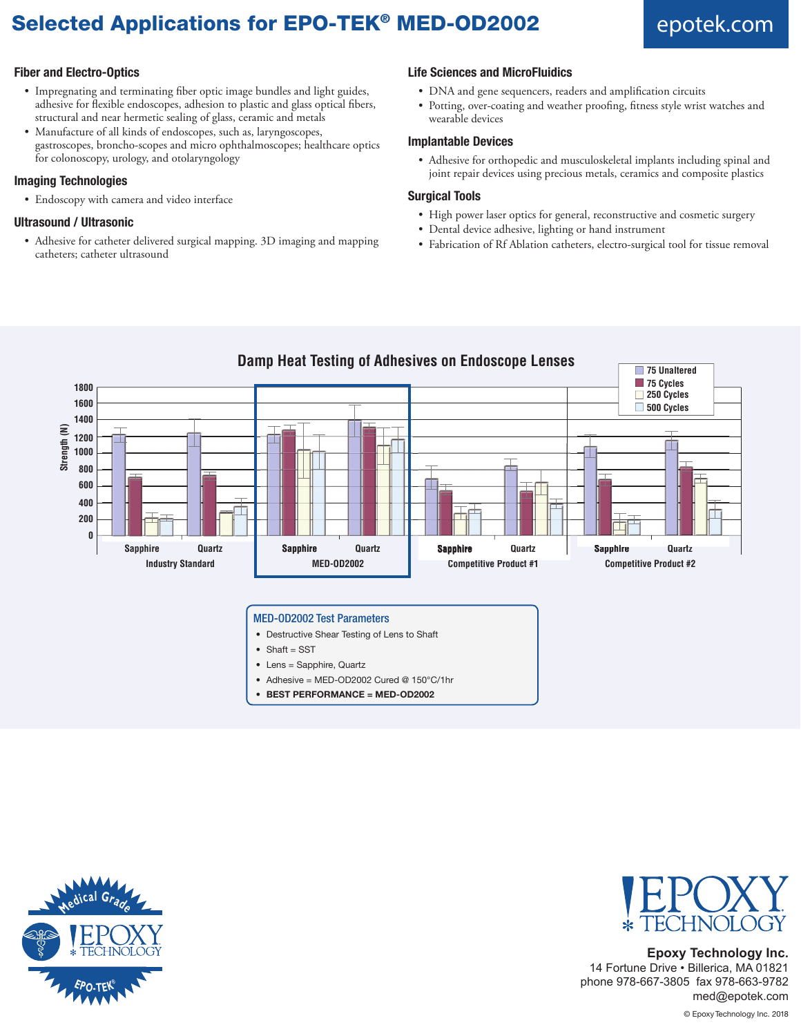# Selected Applications for EPO-TEK<sup>®</sup> MED-OD2002 epotek.com

### **Fiber and Electro-Optics**

- Impregnating and terminating fiber optic image bundles and light guides, adhesive for flexible endoscopes, adhesion to plastic and glass optical fibers, structural and near hermetic sealing of glass, ceramic and metals
- Manufacture of all kinds of endoscopes, such as, laryngoscopes, gastroscopes, broncho-scopes and micro ophthalmoscopes; healthcare optics for colonoscopy, urology, and otolaryngology

#### **Imaging Technologies**

• Endoscopy with camera and video interface

#### **Ultrasound / Ultrasonic**

• Adhesive for catheter delivered surgical mapping. 3D imaging and mapping catheters; catheter ultrasound

#### **Life Sciences and MicroFluidics**

- DNA and gene sequencers, readers and amplification circuits
- Potting, over-coating and weather proofing, fitness style wrist watches and wearable devices

#### **Implantable Devices**

• Adhesive for orthopedic and musculoskeletal implants including spinal and joint repair devices using precious metals, ceramics and composite plastics

#### **Surgical Tools**

- High power laser optics for general, reconstructive and cosmetic surgery
- Dental device adhesive, lighting or hand instrument
- Fabrication of Rf Ablation catheters, electro-surgical tool for tissue removal



#### • Destructive Shear Testing of Lens to Shaft

- Shaft = SST
- Lens = Sapphire, Quartz
- Adhesive = MED-OD2002 Cured @ 150°C/1hr
- **• BEST PERFORMANCE = MED-OD2002**





# **Epoxy Technology Inc.**

14 Fortune Drive • Billerica, MA 01821 phone 978-667-3805 fax 978-663-9782 med@epotek.com